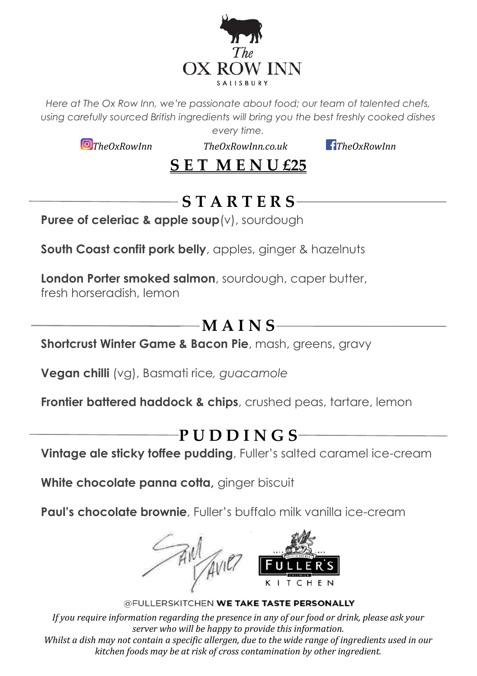

*Here at The Ox Row Inn, we're passionate about food; our team of talented chefs, using carefully sourced British ingredients will bring you the best freshly cooked dishes* 

*TheOxRowInn TheOxRowInn.co.uk TheOxRowInn*

*every time.*

## **S E T M E N U £25**

# **S T A R T E R S**

**Puree of celeriac & apple soup**(v), sourdough

**South Coast confit pork belly**, apples, ginger & hazelnuts

**London Porter smoked salmon**, sourdough, caper butter, fresh horseradish, lemon

# **M A I N S**

**Shortcrust Winter Game & Bacon Pie**, mash, greens, gravy

**Vegan chilli** (vg), Basmati rice*, guacamole*

**Frontier battered haddock & chips**, crushed peas, tartare, lemon

## **P U D D I N G S**

**Vintage ale sticky toffee pudding**, Fuller's salted caramel ice-cream

White chocolate panna cotta, ginger biscuit

**Paul's chocolate brownie**, Fuller's buffalo milk vanilla ice-cream



#### @FULLERSKITCHEN WE TAKE TASTE PERSONALLY *If you require information regarding the presence in any of our food or drink, please ask your server who will be happy to provide this information. Whilst a dish may not contain a specific allergen, due to the wide range of ingredients used in our kitchen foods may be at risk of cross contamination by other ingredient.*